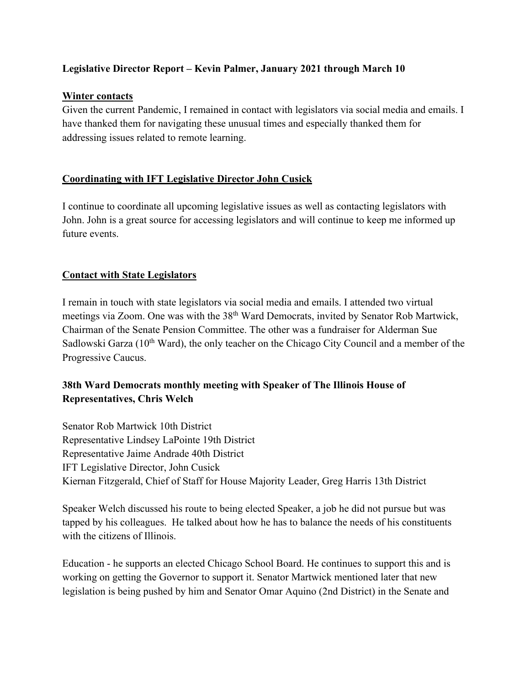### **Legislative Director Report – Kevin Palmer, January 2021 through March 10**

#### **Winter contacts**

Given the current Pandemic, I remained in contact with legislators via social media and emails. I have thanked them for navigating these unusual times and especially thanked them for addressing issues related to remote learning.

# **Coordinating with IFT Legislative Director John Cusick**

I continue to coordinate all upcoming legislative issues as well as contacting legislators with John. John is a great source for accessing legislators and will continue to keep me informed up future events.

### **Contact with State Legislators**

I remain in touch with state legislators via social media and emails. I attended two virtual meetings via Zoom. One was with the 38<sup>th</sup> Ward Democrats, invited by Senator Rob Martwick, Chairman of the Senate Pension Committee. The other was a fundraiser for Alderman Sue Sadlowski Garza  $(10<sup>th</sup> Ward)$ , the only teacher on the Chicago City Council and a member of the Progressive Caucus.

# **38th Ward Democrats monthly meeting with Speaker of The Illinois House of Representatives, Chris Welch**

Senator Rob Martwick 10th District Representative Lindsey LaPointe 19th District Representative Jaime Andrade 40th District IFT Legislative Director, John Cusick Kiernan Fitzgerald, Chief of Staff for House Majority Leader, Greg Harris 13th District

Speaker Welch discussed his route to being elected Speaker, a job he did not pursue but was tapped by his colleagues. He talked about how he has to balance the needs of his constituents with the citizens of Illinois.

Education - he supports an elected Chicago School Board. He continues to support this and is working on getting the Governor to support it. Senator Martwick mentioned later that new legislation is being pushed by him and Senator Omar Aquino (2nd District) in the Senate and